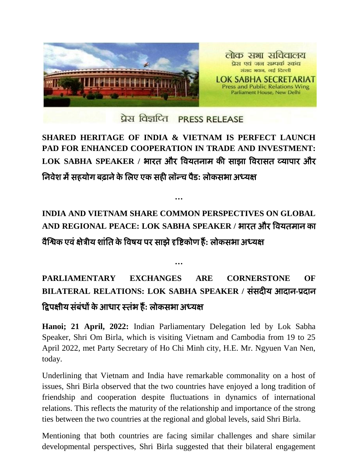

## प्रेस विज्ञप्ति PRESS RELEASE

## **SHARED HERITAGE OF INDIA & VIETNAM IS PERFECT LAUNCH PAD FOR ENHANCED COOPERATION IN TRADE AND INVESTMENT: LOK SABHA SPEAKER /** बायत औय विमतनाभ की साझा वियासत व्माऩाय औय ननिेश भेंसहमोग फढानेके नरए एक सही रॉन्च ऩैड**:** रोकसबा अध्मऺ

## **INDIA AND VIETNAM SHARE COMMON PERSPECTIVES ON GLOBAL AND REGIONAL PEACE: LOK SABHA SPEAKER /** बायत औय विमतभान का िैश्विक एिंऺेत्रीम शांनत के विषम ऩय साझेदृविकोण हैं**:** रोकसबा अध्मऺ

**…**

## **PARLIAMENTARY EXCHANGES ARE CORNERSTONE OF BILATERAL RELATIONS: LOK SABHA SPEAKER /** संसदीम आदान**-**प्रदान द्विऩऺीम संफंधों केआधाय स्तंब हैं**:** रोकसबा अध्मऺ

**…**

**Hanoi; 21 April, 2022:** Indian Parliamentary Delegation led by Lok Sabha Speaker, Shri Om Birla, which is visiting Vietnam and Cambodia from 19 to 25 April 2022, met Party Secretary of Ho Chi Minh city, H.E. Mr. Ngyuen Van Nen, today.

Underlining that Vietnam and India have remarkable commonality on a host of issues, Shri Birla observed that the two countries have enjoyed a long tradition of friendship and cooperation despite fluctuations in dynamics of international relations. This reflects the maturity of the relationship and importance of the strong ties between the two countries at the regional and global levels, said Shri Birla.

Mentioning that both countries are facing similar challenges and share similar developmental perspectives, Shri Birla suggested that their bilateral engagement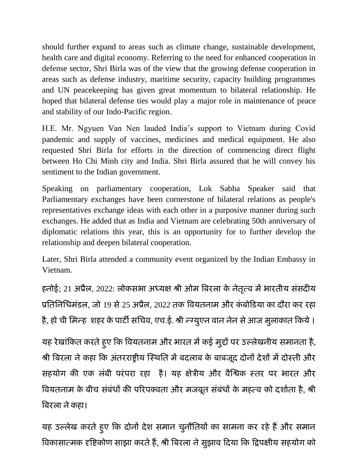should further expand to areas such as climate change, sustainable development, health care and digital economy. Referring to the need for enhanced cooperation in defense sector, Shri Birla was of the view that the growing defense cooperation in areas such as defense industry, maritime security, capacity building programmes and UN peacekeeping has given great momentum to bilateral relationship. He hoped that bilateral defense ties would play a major role in maintenance of peace and stability of our Indo-Pacific region.

H.E. Mr. Ngyuen Van Nen lauded India's support to Vietnam during Covid pandemic and supply of vaccines, medicines and medical equipment. He also requested Shri Birla for efforts in the direction of commencing direct flight between Ho Chi Minh city and India. Shri Birla assured that he will convey his sentiment to the Indian government.

Speaking on parliamentary cooperation, Lok Sabha Speaker said that Parliamentary exchanges have been cornerstone of bilateral relations as people's representatives exchange ideas with each other in a purposive manner during such exchanges. He added that as India and Vietnam are celebrating 50th anniversary of diplomatic relations this year, this is an opportunity for to further develop the relationship and deepen bilateral cooperation.

Later, Shri Birla attended a community event organized by the Indian Embassy in Vietnam.

हनोई; 21 अप्रैल, 2022: लोकसभा अध्यक्ष श्री ओम बिरला के नेतृत्व में भारतीय संसदीय प्रतिनिधिमंडल, जो 19 से 25 अप्रैल, 2022 तक वियतनाम और कंबोडिया का दौरा कर रहा है, हो ची मिन्ह शहर के पार्टी सचिव, एच.ई. श्री न्ग्यूएन वान नेन से आज मुलाकात किये ।

यह रेखांकित करते हुए कि वियतनाम और भारत में कई मुद्दों पर उल्लेखनीय समानता है, श्री बिरला ने कहा कि अंतरराष्ट्रीय स्थिति में बदलाब के बाबजूद दोनों देशों में दोस्ती और सहयोग की एक लंबी परंपरा रहा है। यह क्षेत्रीय और वैश्विक स्तर पर भारत और वियतनाम के बीच संबंधों की परिपक्वता और मजबूत संबंधों के महत्व को दर्शाता है, श्री बिरला ने कहा।

यह उल्लेख करते हुए कि दोनों देश समान चुनौतियों का सामना कर रहे हैं और समान विकासात्मक दृष्टिकोण साझा करते हैं, श्री बिरला ने सुझाव दिया कि द्विपक्षीय सहयोग को